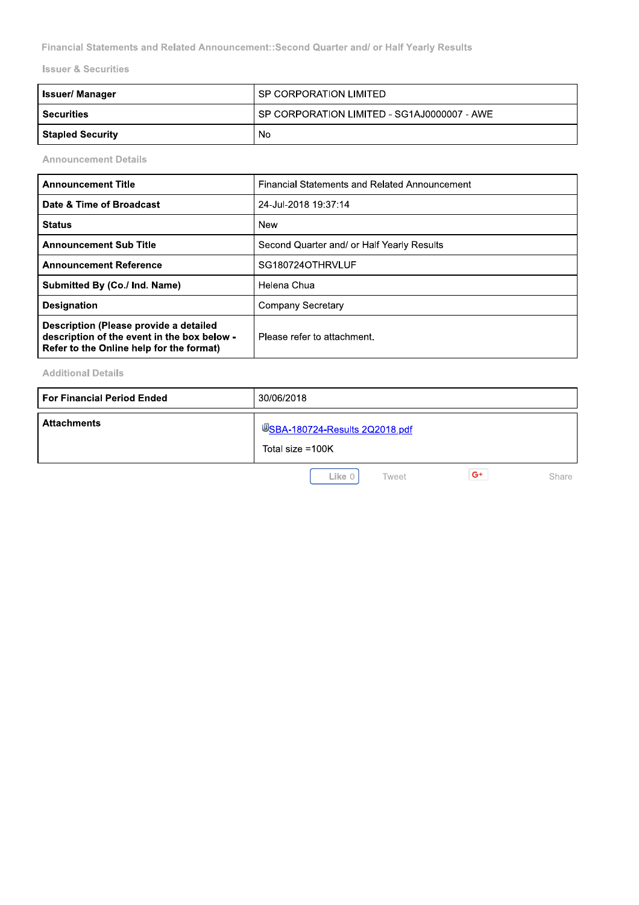|                                | Financial Statements and Related Announcement::Second Quarter and/ or Half Yearly Results |  |  |  |  |
|--------------------------------|-------------------------------------------------------------------------------------------|--|--|--|--|
| <b>Issuer &amp; Securities</b> |                                                                                           |  |  |  |  |
| <b>Issuer/Manager</b>          | SP CORPORATION LIMITED                                                                    |  |  |  |  |
| <b>Securities</b>              | SP CORPORATION LIMITED - SG1AJ0000007 - AWE                                               |  |  |  |  |
| <b>Stapled Security</b>        | No.                                                                                       |  |  |  |  |
| <b>Announcement Details</b>    |                                                                                           |  |  |  |  |
| <b>Announcement Title</b>      | <b>Financial Statements and Related Announcement</b>                                      |  |  |  |  |
| Date & Time of Broadcast       | 24-Jul-2018 19:37:14                                                                      |  |  |  |  |

| <b>Announcement Title</b>                                                                                                         | <b>Financial Statements and Related Announcement</b> |
|-----------------------------------------------------------------------------------------------------------------------------------|------------------------------------------------------|
| Date & Time of Broadcast                                                                                                          | 24-Jul-2018 19:37:14                                 |
| <b>Status</b>                                                                                                                     | New                                                  |
| <b>Announcement Sub Title</b>                                                                                                     | Second Quarter and/ or Half Yearly Results           |
| <b>Announcement Reference</b>                                                                                                     | SG180724OTHRVLUF                                     |
| Submitted By (Co./ Ind. Name)                                                                                                     | Helena Chua                                          |
| <b>Designation</b>                                                                                                                | <b>Company Secretary</b>                             |
| Description (Please provide a detailed<br>description of the event in the box below -<br>Refer to the Online help for the format) | Please refer to attachment.                          |

## Additional Details

| <b>For Financial Period Ended</b> | 30/06/2018                                                |  |  |  |  |
|-----------------------------------|-----------------------------------------------------------|--|--|--|--|
| <b>Attachments</b>                | <b>USBA-180724-Results 2Q2018.pdf</b><br>Total size =100K |  |  |  |  |
|                                   | $G^+$<br>Like 0<br>Share<br>Tweet                         |  |  |  |  |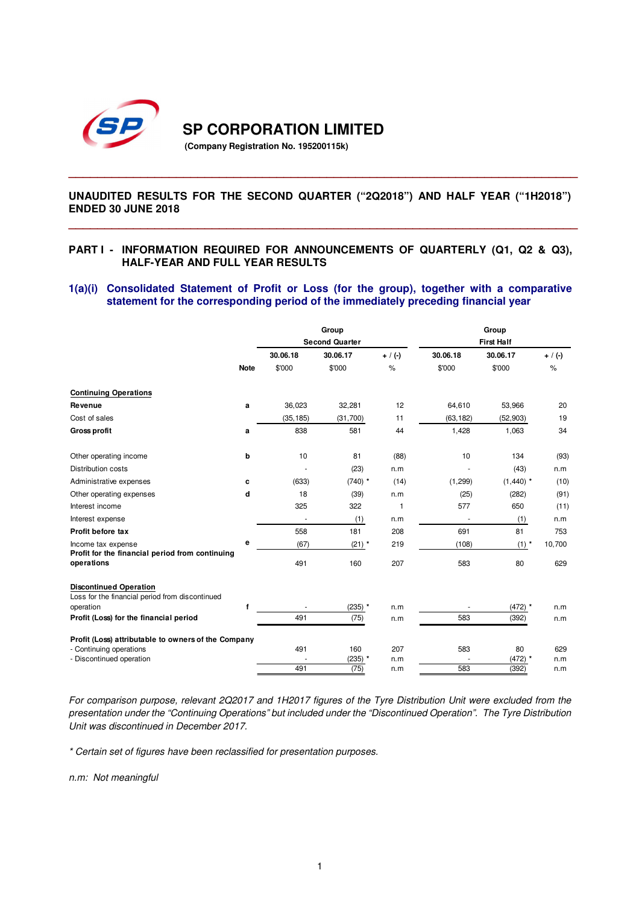

**SP CORPORATION LIMITED** 

**(Company Registration No. 195200115k)** 

### **UNAUDITED RESULTS FOR THE SECOND QUARTER ("2Q2018") AND HALF YEAR ("1H2018") ENDED 30 JUNE 2018**

**\_\_\_\_\_\_\_\_\_\_\_\_\_\_\_\_\_\_\_\_\_\_\_\_\_\_\_\_\_\_\_\_\_\_\_\_\_\_\_\_\_\_\_\_\_\_\_\_\_\_\_\_\_\_\_\_\_\_\_\_\_\_\_\_\_\_\_\_\_\_\_** 

**\_\_\_\_\_\_\_\_\_\_\_\_\_\_\_\_\_\_\_\_\_\_\_\_\_\_\_\_\_\_\_\_\_\_\_\_\_\_\_\_\_\_\_\_\_\_\_\_\_\_\_\_\_\_\_\_\_\_\_\_\_\_\_\_\_\_\_\_\_\_\_**

### **PART I - INFORMATION REQUIRED FOR ANNOUNCEMENTS OF QUARTERLY (Q1, Q2 & Q3), HALF-YEAR AND FULL YEAR RESULTS**

#### **1(a)(i) Consolidated Statement of Profit or Loss (for the group), together with a comparative statement for the corresponding period of the immediately preceding financial year**

|                                                                                  |             |           | Group                 |            | Group                    |                   |            |  |  |  |
|----------------------------------------------------------------------------------|-------------|-----------|-----------------------|------------|--------------------------|-------------------|------------|--|--|--|
|                                                                                  |             |           | <b>Second Quarter</b> |            |                          | <b>First Half</b> |            |  |  |  |
|                                                                                  |             | 30.06.18  | 30.06.17              | $+ / (-)$  | 30.06.18                 | 30.06.17          | $+ / (-)$  |  |  |  |
|                                                                                  | <b>Note</b> | \$'000    | \$'000                | %          | \$'000                   | \$'000            | $\%$       |  |  |  |
| <b>Continuing Operations</b>                                                     |             |           |                       |            |                          |                   |            |  |  |  |
| Revenue                                                                          | a           | 36,023    | 32,281                | 12         | 64,610                   | 53,966            | 20         |  |  |  |
| Cost of sales                                                                    |             | (35, 185) | (31,700)              | 11         | (63, 182)                | (52, 903)         | 19         |  |  |  |
| <b>Gross profit</b>                                                              | a           | 838       | 581                   | 44         | 1,428                    | 1,063             | 34         |  |  |  |
| Other operating income                                                           | b           | 10        | 81                    | (88)       | 10                       | 134               | (93)       |  |  |  |
| Distribution costs                                                               |             |           | (23)                  | n.m        |                          | (43)              | n.m        |  |  |  |
| Administrative expenses                                                          | c           | (633)     | $(740)$ *             | (14)       | (1, 299)                 | $(1,440)$ *       | (10)       |  |  |  |
| Other operating expenses                                                         | d           | 18        | (39)                  | n.m        | (25)                     | (282)             | (91)       |  |  |  |
| Interest income                                                                  |             | 325       | 322                   | 1          | 577                      | 650               | (11)       |  |  |  |
| Interest expense                                                                 |             | ×,        | (1)                   | n.m        | $\overline{\phantom{a}}$ | (1)               | n.m        |  |  |  |
| Profit before tax                                                                |             | 558       | 181                   | 208        | 691                      | 81                | 753        |  |  |  |
| Income tax expense<br>Profit for the financial period from continuing            | е           | (67)      | $(21)$ *              | 219        | (108)                    | $(1)$ *           | 10,700     |  |  |  |
| operations                                                                       |             | 491       | 160                   | 207        | 583                      | 80                | 629        |  |  |  |
| <b>Discontinued Operation</b><br>Loss for the financial period from discontinued |             |           |                       |            |                          |                   |            |  |  |  |
| operation                                                                        | f           |           | $(235)$ *             | n.m        |                          | $(472)$ *         | n.m        |  |  |  |
| Profit (Loss) for the financial period                                           |             | 491       | (75)                  | n.m        | 583                      | (392)             | n.m        |  |  |  |
| Profit (Loss) attributable to owners of the Company                              |             |           |                       |            |                          |                   |            |  |  |  |
| - Continuing operations<br>- Discontinued operation                              |             | 491       | 160<br>$(235)$ *      | 207<br>n.m | 583                      | 80<br>$(472)$ *   | 629<br>n.m |  |  |  |
|                                                                                  |             | 491       | (75)                  | n.m        | 583                      | (392)             | n.m        |  |  |  |
|                                                                                  |             |           |                       |            |                          |                   |            |  |  |  |

*For comparison purpose, relevant 2Q2017 and 1H2017 figures of the Tyre Distribution Unit were excluded from the presentation under the "Continuing Operations" but included under the "Discontinued Operation". The Tyre Distribution Unit was discontinued in December 2017.* 

*\* Certain set of figures have been reclassified for presentation purposes.* 

*n.m: Not meaningful*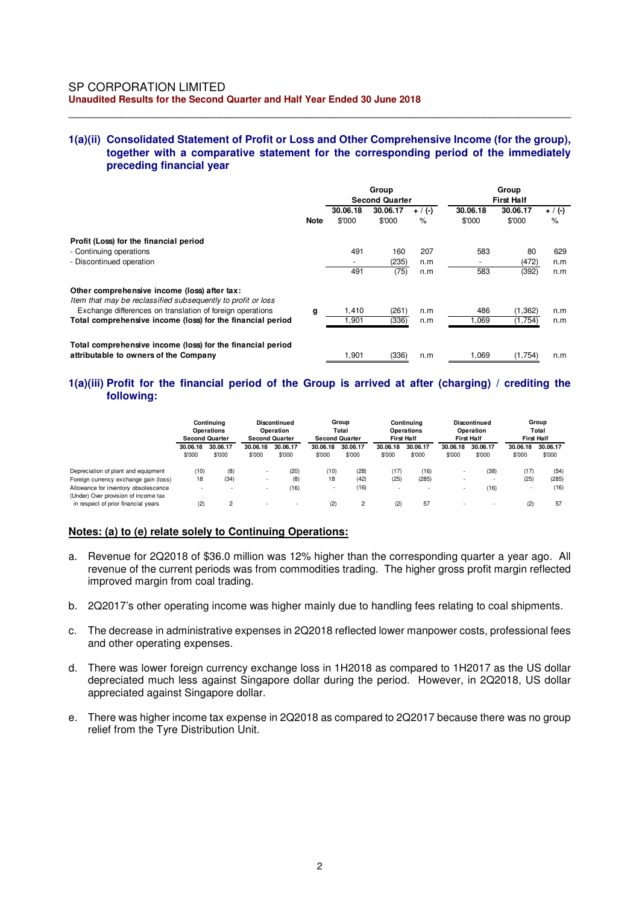### **1(a)(ii) Consolidated Statement of Profit or Loss and Other Comprehensive Income (for the group), together with a comparative statement for the corresponding period of the immediately preceding financial year**

\_\_\_\_\_\_\_\_\_\_\_\_\_\_\_\_\_\_\_\_\_\_\_\_\_\_\_\_\_\_\_\_\_\_\_\_\_\_\_\_\_\_\_\_\_\_\_\_\_\_\_\_\_\_\_\_\_\_\_\_\_\_\_\_\_\_\_\_\_\_\_\_\_\_\_\_\_\_

|                                                                                                              |             | Group<br><b>Second Quarter</b> |                    |                   | Group<br><b>First Half</b> |                    |                   |
|--------------------------------------------------------------------------------------------------------------|-------------|--------------------------------|--------------------|-------------------|----------------------------|--------------------|-------------------|
|                                                                                                              | <b>Note</b> | 30.06.18<br>\$'000             | 30.06.17<br>\$'000 | $+ / (-)$<br>$\%$ | 30.06.18<br>\$'000         | 30.06.17<br>\$'000 | $+ / (-)$<br>$\%$ |
| Profit (Loss) for the financial period                                                                       |             |                                |                    |                   |                            |                    |                   |
| - Continuing operations                                                                                      |             | 491                            | 160                | 207               | 583                        | 80                 | 629               |
| - Discontinued operation                                                                                     |             |                                | (235)              | n.m               | ۰                          | (472)              | n.m               |
|                                                                                                              |             | 491                            | (75)               | n.m               | 583                        | (392)              | n.m               |
| Other comprehensive income (loss) after tax:<br>Item that may be reclassified subsequently to profit or loss |             |                                |                    |                   |                            |                    |                   |
| Exchange differences on translation of foreign operations                                                    | g           | 1,410                          | (261)              | n.m               | 486                        | (1, 362)           | n.m               |
| Total comprehensive income (loss) for the financial period                                                   |             | 1,901                          | (336)              | n.m               | 069. ا                     | (1,754)            | n.m               |
| Total comprehensive income (loss) for the financial period                                                   |             |                                |                    |                   |                            |                    |                   |
| attributable to owners of the Company                                                                        |             | 1,901                          | (336)              | n.m               | 1,069                      | (1,754)            | n.m               |

### **1(a)(iii) Profit for the financial period of the Group is arrived at after (charging) / crediting the following:**

|                                                                              |                    | Continuina<br><b>Operations</b><br><b>Second Quarter</b> | Discontinued<br>Operation<br><b>Second Quarter</b> |                    | Group<br>Total<br><b>Second Quarter</b> |                    | Continuina<br><b>Operations</b><br><b>First Half</b> |                    | Discontinued<br>Operation<br><b>First Half</b> |                    | Group<br>Total<br><b>First Half</b> |                    |
|------------------------------------------------------------------------------|--------------------|----------------------------------------------------------|----------------------------------------------------|--------------------|-----------------------------------------|--------------------|------------------------------------------------------|--------------------|------------------------------------------------|--------------------|-------------------------------------|--------------------|
|                                                                              | 30.06.18<br>\$'000 | 30.06.17<br>\$'000                                       | 30.06.18<br>\$'000                                 | 30.06.17<br>\$'000 | 30.06.18<br>\$'000                      | 30.06.17<br>\$'000 | 30.06.18<br>\$'000                                   | 30.06.17<br>\$'000 | 30.06.18<br>\$'000                             | 30.06.17<br>\$'000 | 30.06.18<br>\$'000                  | 30.06.17<br>\$'000 |
| Depreciation of plant and equipment                                          | (10)               | (8)                                                      | $\overline{\phantom{a}}$                           | (20)               | (10)                                    | (28)               | (17)                                                 | (16)               | $\overline{\phantom{a}}$                       | (38)               | (17)                                | (54)               |
| Foreign currency exchange gain (loss)                                        | 18                 | (34)                                                     | $\overline{\phantom{a}}$                           | (8)                | 18                                      | (42)               | (25)                                                 | (285)              |                                                |                    | (25)                                | (285)              |
| Allowance for inventory obsolescence<br>(Under) Over provision of income tax |                    | $\overline{\phantom{a}}$                                 | $\overline{\phantom{a}}$                           | (16)               | $\sim$                                  | (16)               | $\overline{\phantom{a}}$                             |                    | $\overline{\phantom{a}}$                       | (16)               | $\overline{\phantom{a}}$            | (16)               |
| in respect of prior financial years                                          | (2)                |                                                          | $\overline{\phantom{a}}$                           |                    | (2)                                     | $\mathbf{2}$       | (2)                                                  | 57                 |                                                |                    | (2)                                 | 57                 |

### **Notes: (a) to (e) relate solely to Continuing Operations:**

- a. Revenue for 2Q2018 of \$36.0 million was 12% higher than the corresponding quarter a year ago. All revenue of the current periods was from commodities trading. The higher gross profit margin reflected improved margin from coal trading.
- b. 2Q2017's other operating income was higher mainly due to handling fees relating to coal shipments.
- c. The decrease in administrative expenses in 2Q2018 reflected lower manpower costs, professional fees and other operating expenses.
- d. There was lower foreign currency exchange loss in 1H2018 as compared to 1H2017 as the US dollar depreciated much less against Singapore dollar during the period. However, in 2Q2018, US dollar appreciated against Singapore dollar.
- e. There was higher income tax expense in 2Q2018 as compared to 2Q2017 because there was no group relief from the Tyre Distribution Unit.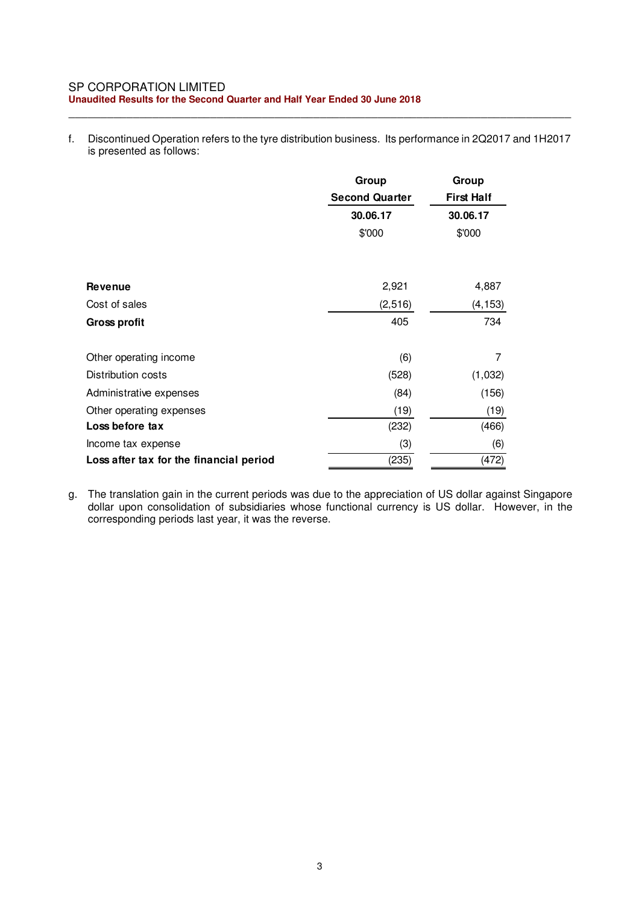#### SP CORPORATION LIMITED **Unaudited Results for the Second Quarter and Half Year Ended 30 June 2018**

f. Discontinued Operation refers to the tyre distribution business. Its performance in 2Q2017 and 1H2017 is presented as follows:

\_\_\_\_\_\_\_\_\_\_\_\_\_\_\_\_\_\_\_\_\_\_\_\_\_\_\_\_\_\_\_\_\_\_\_\_\_\_\_\_\_\_\_\_\_\_\_\_\_\_\_\_\_\_\_\_\_\_\_\_\_\_\_\_\_\_\_\_\_\_\_\_\_\_\_\_\_\_

|                                         | Group                 | Group             |
|-----------------------------------------|-----------------------|-------------------|
|                                         | <b>Second Quarter</b> | <b>First Half</b> |
|                                         | 30.06.17              | 30.06.17          |
|                                         | \$'000                | \$'000            |
|                                         |                       |                   |
| Revenue                                 | 2,921                 | 4,887             |
| Cost of sales                           | (2, 516)              | (4, 153)          |
| <b>Gross profit</b>                     | 405                   | 734               |
| Other operating income                  | (6)                   | 7                 |
| Distribution costs                      | (528)                 | (1,032)           |
| Administrative expenses                 | (84)                  | (156)             |
| Other operating expenses                | (19)                  | (19)              |
| Loss before tax                         | (232)                 | (466)             |
| Income tax expense                      | (3)                   | (6)               |
| Loss after tax for the financial period | (235)                 | (472)             |

g. The translation gain in the current periods was due to the appreciation of US dollar against Singapore dollar upon consolidation of subsidiaries whose functional currency is US dollar. However, in the corresponding periods last year, it was the reverse.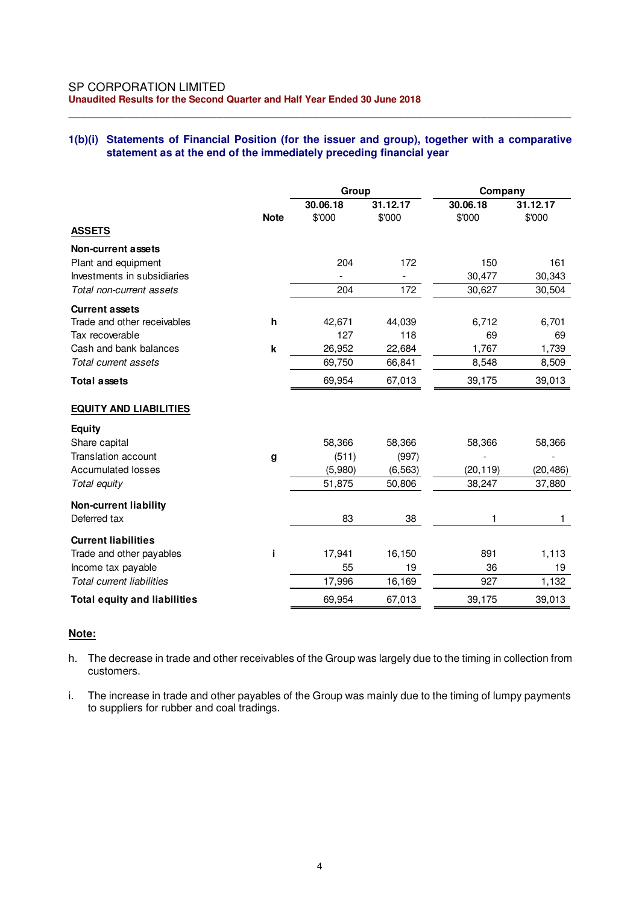### **1(b)(i) Statements of Financial Position (for the issuer and group), together with a comparative statement as at the end of the immediately preceding financial year**

\_\_\_\_\_\_\_\_\_\_\_\_\_\_\_\_\_\_\_\_\_\_\_\_\_\_\_\_\_\_\_\_\_\_\_\_\_\_\_\_\_\_\_\_\_\_\_\_\_\_\_\_\_\_\_\_\_\_\_\_\_\_\_\_\_\_\_\_\_\_\_\_\_\_\_\_\_\_

|                                     |                    | Group              |                    | Company            |                    |  |
|-------------------------------------|--------------------|--------------------|--------------------|--------------------|--------------------|--|
|                                     | <b>Note</b>        | 30.06.18<br>\$'000 | 31.12.17<br>\$'000 | 30.06.18<br>\$'000 | 31.12.17<br>\$'000 |  |
| <b>ASSETS</b>                       |                    |                    |                    |                    |                    |  |
| Non-current assets                  |                    |                    |                    |                    |                    |  |
| Plant and equipment                 |                    | 204                | 172                | 150                | 161                |  |
| Investments in subsidiaries         |                    |                    |                    | 30,477             | 30,343             |  |
| Total non-current assets            |                    | 204                | 172                | 30,627             | 30,504             |  |
| <b>Current assets</b>               |                    |                    |                    |                    |                    |  |
| Trade and other receivables         | h                  | 42,671             | 44,039             | 6,712              | 6,701              |  |
| Tax recoverable                     |                    | 127                | 118                | 69                 | 69                 |  |
| Cash and bank balances              | $\pmb{\mathsf{k}}$ | 26,952             | 22,684             | 1,767              | 1,739              |  |
| Total current assets                |                    | 69,750             | 66,841             | 8,548              | 8,509              |  |
| <b>Total assets</b>                 |                    | 69,954             | 67,013             | 39,175             | 39,013             |  |
| <b>EQUITY AND LIABILITIES</b>       |                    |                    |                    |                    |                    |  |
| <b>Equity</b>                       |                    |                    |                    |                    |                    |  |
| Share capital                       |                    | 58,366             | 58,366             | 58,366             | 58,366             |  |
| <b>Translation account</b>          | g                  | (511)              | (997)              |                    |                    |  |
| <b>Accumulated losses</b>           |                    | (5,980)            | (6, 563)           | (20, 119)          | (20, 486)          |  |
| Total equity                        |                    | 51,875             | 50,806             | 38,247             | 37,880             |  |
| <b>Non-current liability</b>        |                    |                    |                    |                    |                    |  |
| Deferred tax                        |                    | 83                 | 38                 | 1                  | 1                  |  |
| <b>Current liabilities</b>          |                    |                    |                    |                    |                    |  |
| Trade and other payables            | Î.                 | 17,941             | 16,150             | 891                | 1,113              |  |
| Income tax payable                  |                    | 55                 | 19                 | 36                 | 19                 |  |
| <b>Total current liabilities</b>    |                    | 17,996             | 16,169             | 927                | 1,132              |  |
| <b>Total equity and liabilities</b> |                    | 69,954             | 67,013             | 39,175             | 39,013             |  |

### **Note:**

- h. The decrease in trade and other receivables of the Group was largely due to the timing in collection from customers.
- i. The increase in trade and other payables of the Group was mainly due to the timing of lumpy payments to suppliers for rubber and coal tradings.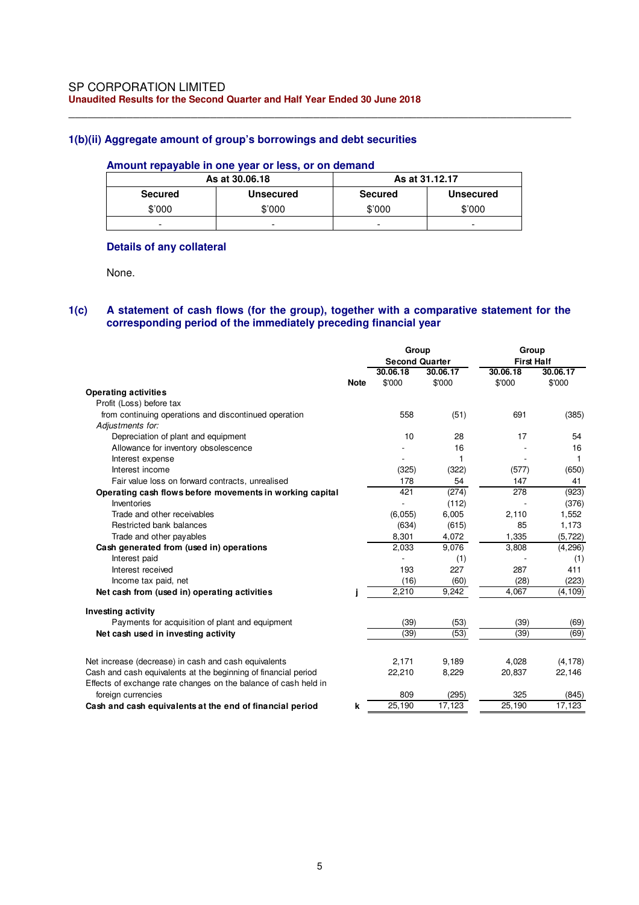### **1(b)(ii) Aggregate amount of group's borrowings and debt securities**

#### **Amount repayable in one year or less, or on demand**

|                | As at 30,06,18 | As at 31.12.17 |                          |  |  |
|----------------|----------------|----------------|--------------------------|--|--|
| <b>Secured</b> | Unsecured      | <b>Secured</b> | <b>Unsecured</b>         |  |  |
| \$'000         | \$'000         | \$'000         | \$'000                   |  |  |
| -              | -              | ۰              | $\overline{\phantom{0}}$ |  |  |

\_\_\_\_\_\_\_\_\_\_\_\_\_\_\_\_\_\_\_\_\_\_\_\_\_\_\_\_\_\_\_\_\_\_\_\_\_\_\_\_\_\_\_\_\_\_\_\_\_\_\_\_\_\_\_\_\_\_\_\_\_\_\_\_\_\_\_\_\_\_\_\_\_\_\_\_\_\_

#### **Details of any collateral**

None.

### **1(c) A statement of cash flows (for the group), together with a comparative statement for the corresponding period of the immediately preceding financial year**

|                                                                                       |             | Group                 |          | Group             |          |  |
|---------------------------------------------------------------------------------------|-------------|-----------------------|----------|-------------------|----------|--|
|                                                                                       |             | <b>Second Quarter</b> |          | <b>First Half</b> |          |  |
|                                                                                       |             | 30.06.18              | 30.06.17 | 30.06.18          | 30.06.17 |  |
|                                                                                       | <b>Note</b> | \$'000                | \$'000   | \$'000            | \$'000   |  |
| <b>Operating activities</b>                                                           |             |                       |          |                   |          |  |
| Profit (Loss) before tax                                                              |             |                       |          |                   |          |  |
| from continuing operations and discontinued operation                                 |             | 558                   | (51)     | 691               | (385)    |  |
| Adjustments for:                                                                      |             |                       |          |                   |          |  |
| Depreciation of plant and equipment                                                   |             | 10                    | 28       | 17                | 54       |  |
| Allowance for inventory obsolescence                                                  |             |                       | 16       |                   | 16       |  |
| Interest expense                                                                      |             |                       |          |                   | 1        |  |
| Interest income                                                                       |             | (325)                 | (322)    | (577)             | (650)    |  |
| Fair value loss on forward contracts, unrealised                                      |             | 178                   | 54       | 147               | 41       |  |
| Operating cash flows before movements in working capital                              |             | 421                   | (274)    | 278               | (923)    |  |
| Inventories                                                                           |             |                       | (112)    |                   | (376)    |  |
| Trade and other receivables                                                           |             | (6,055)               | 6,005    | 2,110             | 1,552    |  |
| Restricted bank balances                                                              |             | (634)                 | (615)    | 85                | 1,173    |  |
| Trade and other payables                                                              |             | 8,301                 | 4,072    | 1,335             | (5, 722) |  |
| Cash generated from (used in) operations                                              |             | 2,033                 | 9,076    | 3,808             | (4, 296) |  |
| Interest paid                                                                         |             |                       | (1)      |                   | (1)      |  |
| Interest received                                                                     |             | 193                   | 227      | 287               | 411      |  |
| Income tax paid, net                                                                  |             | (16)                  | (60)     | (28)              | (223)    |  |
| Net cash from (used in) operating activities                                          |             | 2,210                 | 9,242    | 4,067             | (4, 109) |  |
| Investing activity                                                                    |             |                       |          |                   |          |  |
| Payments for acquisition of plant and equipment                                       |             | (39)                  | (53)     | (39)              | (69)     |  |
| Net cash used in investing activity                                                   |             | (39)                  | (53)     | (39)              | (69)     |  |
|                                                                                       |             |                       |          | 4.028             |          |  |
| Net increase (decrease) in cash and cash equivalents                                  |             | 2,171                 | 9,189    |                   | (4, 178) |  |
| Cash and cash equivalents at the beginning of financial period                        |             | 22,210                | 8,229    | 20,837            | 22,146   |  |
| Effects of exchange rate changes on the balance of cash held in<br>foreign currencies |             | 809                   | (295)    | 325               | (845)    |  |
| Cash and cash equivalents at the end of financial period                              | k           | 25,190                | 17,123   | 25,190            | 17,123   |  |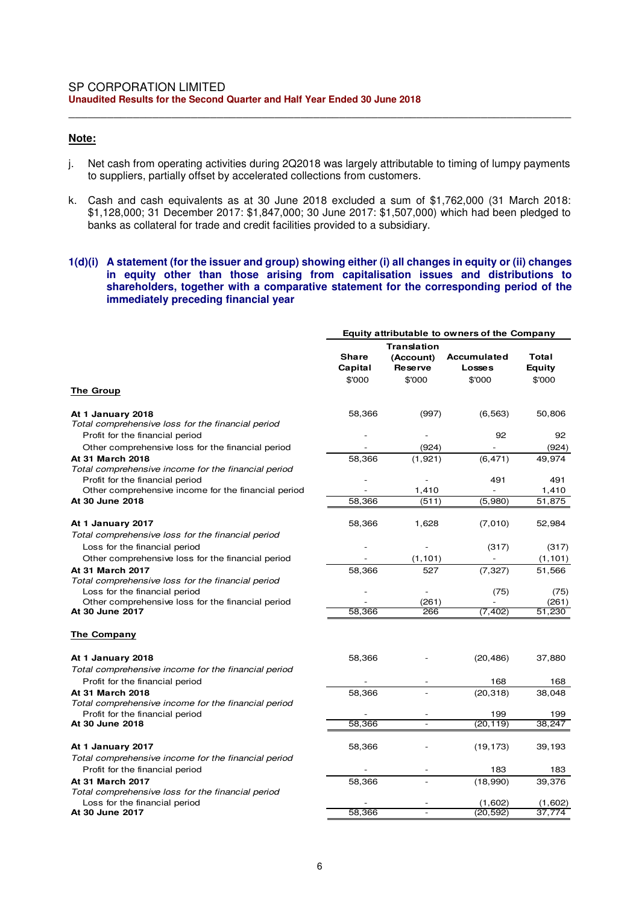### **Note:**

j. Net cash from operating activities during 2Q2018 was largely attributable to timing of lumpy payments to suppliers, partially offset by accelerated collections from customers.

\_\_\_\_\_\_\_\_\_\_\_\_\_\_\_\_\_\_\_\_\_\_\_\_\_\_\_\_\_\_\_\_\_\_\_\_\_\_\_\_\_\_\_\_\_\_\_\_\_\_\_\_\_\_\_\_\_\_\_\_\_\_\_\_\_\_\_\_\_\_\_\_\_\_\_\_\_\_

k. Cash and cash equivalents as at 30 June 2018 excluded a sum of \$1,762,000 (31 March 2018: \$1,128,000; 31 December 2017: \$1,847,000; 30 June 2017: \$1,507,000) which had been pledged to banks as collateral for trade and credit facilities provided to a subsidiary.

#### **1(d)(i) A statement (for the issuer and group) showing either (i) all changes in equity or (ii) changes in equity other than those arising from capitalisation issues and distributions to shareholders, together with a comparative statement for the corresponding period of the immediately preceding financial year**

|                                                                                        | Equity attributable to owners of the Company |                                                             |                                               |                           |  |  |
|----------------------------------------------------------------------------------------|----------------------------------------------|-------------------------------------------------------------|-----------------------------------------------|---------------------------|--|--|
|                                                                                        | <b>Share</b><br>Capital<br>\$'000            | <b>Translation</b><br>(Account)<br><b>Reserve</b><br>\$'000 | <b>Accumulated</b><br><b>Losses</b><br>\$'000 | Total<br>Equity<br>\$'000 |  |  |
| The Group                                                                              |                                              |                                                             |                                               |                           |  |  |
| At 1 January 2018<br>Total comprehensive loss for the financial period                 | 58,366                                       | (997)                                                       | (6, 563)                                      | 50,806                    |  |  |
| Profit for the financial period<br>Other comprehensive loss for the financial period   |                                              | (924)                                                       | 92                                            | 92<br>(924)               |  |  |
| At 31 March 2018<br>Total comprehensive income for the financial period                | 58,366                                       | (1, 921)                                                    | (6, 471)                                      | 49,974                    |  |  |
| Profit for the financial period<br>Other comprehensive income for the financial period |                                              | 1,410                                                       | 491                                           | 491<br>1,410              |  |  |
| At 30 June 2018                                                                        | 58,366                                       | (511)                                                       | (5,980)                                       | 51,875                    |  |  |
| At 1 January 2017<br>Total comprehensive loss for the financial period                 | 58,366                                       | 1,628                                                       | (7,010)                                       | 52,984                    |  |  |
| Loss for the financial period                                                          |                                              |                                                             | (317)                                         | (317)                     |  |  |
| Other comprehensive loss for the financial period<br><b>At 31 March 2017</b>           |                                              | (1, 101)                                                    |                                               | (1, 101)                  |  |  |
| Total comprehensive loss for the financial period<br>Loss for the financial period     | 58,366                                       | 527                                                         | (7, 327)<br>(75)                              | 51,566<br>(75)            |  |  |
| Other comprehensive loss for the financial period<br>At 30 June 2017                   | 58,366                                       | (261)<br>266                                                | (7, 402)                                      | (261)<br>51,230           |  |  |
| The Company                                                                            |                                              |                                                             |                                               |                           |  |  |
| At 1 January 2018<br>Total comprehensive income for the financial period               | 58,366                                       |                                                             | (20, 486)                                     | 37,880                    |  |  |
| Profit for the financial period                                                        |                                              |                                                             | 168                                           | 168                       |  |  |
| At 31 March 2018                                                                       | 58,366                                       |                                                             | (20, 318)                                     | 38,048                    |  |  |
| Total comprehensive income for the financial period<br>Profit for the financial period |                                              |                                                             | 199                                           | 199                       |  |  |
| At 30 June 2018                                                                        | 58.366                                       |                                                             | (20.119)                                      | 38.247                    |  |  |
| At 1 January 2017<br>Total comprehensive income for the financial period               | 58,366                                       |                                                             | (19, 173)                                     | 39,193                    |  |  |
| Profit for the financial period                                                        |                                              |                                                             | 183                                           | 183                       |  |  |
| <b>At 31 March 2017</b>                                                                | 58,366                                       |                                                             | (18,990)                                      | 39,376                    |  |  |
| Total comprehensive loss for the financial period<br>Loss for the financial period     |                                              |                                                             | (1,602)                                       | (1,602)                   |  |  |
| At 30 June 2017                                                                        | 58,366                                       |                                                             | (20, 592)                                     | 37,774                    |  |  |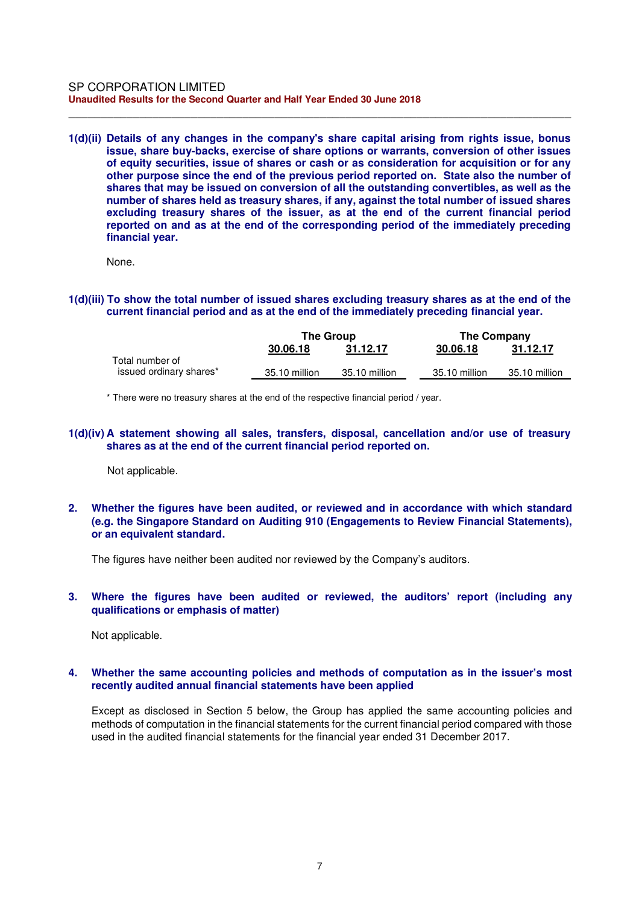**1(d)(ii) Details of any changes in the company's share capital arising from rights issue, bonus issue, share buy-backs, exercise of share options or warrants, conversion of other issues of equity securities, issue of shares or cash or as consideration for acquisition or for any other purpose since the end of the previous period reported on. State also the number of shares that may be issued on conversion of all the outstanding convertibles, as well as the number of shares held as treasury shares, if any, against the total number of issued shares excluding treasury shares of the issuer, as at the end of the current financial period reported on and as at the end of the corresponding period of the immediately preceding financial year.** 

\_\_\_\_\_\_\_\_\_\_\_\_\_\_\_\_\_\_\_\_\_\_\_\_\_\_\_\_\_\_\_\_\_\_\_\_\_\_\_\_\_\_\_\_\_\_\_\_\_\_\_\_\_\_\_\_\_\_\_\_\_\_\_\_\_\_\_\_\_\_\_\_\_\_\_\_\_\_

None.

**1(d)(iii) To show the total number of issued shares excluding treasury shares as at the end of the current financial period and as at the end of the immediately preceding financial year.** 

|                                            | <b>The Group</b> |               | <b>The Company</b> |               |  |
|--------------------------------------------|------------------|---------------|--------------------|---------------|--|
|                                            | 30.06.18         | 31.12.17      | 30.06.18           | 31.12.17      |  |
| Total number of<br>issued ordinary shares* | 35.10 million    | 35.10 million | 35.10 million      | 35.10 million |  |

\* There were no treasury shares at the end of the respective financial period / year.

**1(d)(iv) A statement showing all sales, transfers, disposal, cancellation and/or use of treasury shares as at the end of the current financial period reported on.** 

Not applicable.

**2. Whether the figures have been audited, or reviewed and in accordance with which standard (e.g. the Singapore Standard on Auditing 910 (Engagements to Review Financial Statements), or an equivalent standard.** 

The figures have neither been audited nor reviewed by the Company's auditors.

**3. Where the figures have been audited or reviewed, the auditors' report (including any qualifications or emphasis of matter)** 

Not applicable.

#### **4. Whether the same accounting policies and methods of computation as in the issuer's most recently audited annual financial statements have been applied**

Except as disclosed in Section 5 below, the Group has applied the same accounting policies and methods of computation in the financial statements for the current financial period compared with those used in the audited financial statements for the financial year ended 31 December 2017.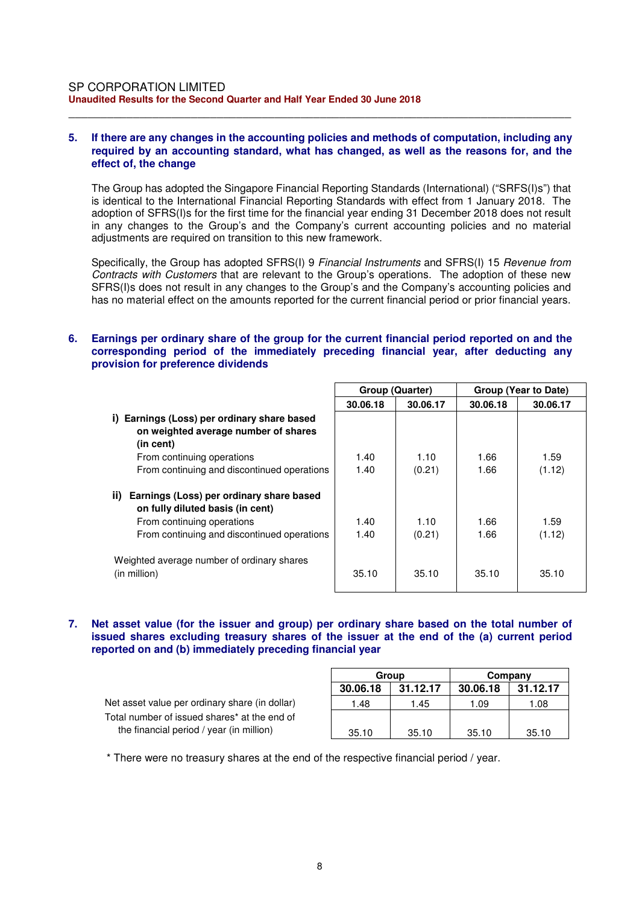#### **5. If there are any changes in the accounting policies and methods of computation, including any required by an accounting standard, what has changed, as well as the reasons for, and the effect of, the change**

\_\_\_\_\_\_\_\_\_\_\_\_\_\_\_\_\_\_\_\_\_\_\_\_\_\_\_\_\_\_\_\_\_\_\_\_\_\_\_\_\_\_\_\_\_\_\_\_\_\_\_\_\_\_\_\_\_\_\_\_\_\_\_\_\_\_\_\_\_\_\_\_\_\_\_\_\_\_

The Group has adopted the Singapore Financial Reporting Standards (International) ("SRFS(I)s") that is identical to the International Financial Reporting Standards with effect from 1 January 2018. The adoption of SFRS(I)s for the first time for the financial year ending 31 December 2018 does not result in any changes to the Group's and the Company's current accounting policies and no material adjustments are required on transition to this new framework.

Specifically, the Group has adopted SFRS(I) 9 *Financial Instruments* and SFRS(I) 15 *Revenue from Contracts with Customers* that are relevant to the Group's operations. The adoption of these new SFRS(I)s does not result in any changes to the Group's and the Company's accounting policies and has no material effect on the amounts reported for the current financial period or prior financial years.

## **6. Earnings per ordinary share of the group for the current financial period reported on and the corresponding period of the immediately preceding financial year, after deducting any provision for preference dividends**

|                                                                                                     | Group (Quarter) |          | Group (Year to Date) |          |  |
|-----------------------------------------------------------------------------------------------------|-----------------|----------|----------------------|----------|--|
|                                                                                                     | 30.06.18        | 30.06.17 | 30.06.18             | 30.06.17 |  |
| Earnings (Loss) per ordinary share based<br>i)<br>on weighted average number of shares<br>(in cent) |                 |          |                      |          |  |
| From continuing operations                                                                          | 1.40            | 1.10     | 1.66                 | 1.59     |  |
| From continuing and discontinued operations                                                         | 1.40            | (0.21)   | 1.66                 | (1.12)   |  |
| ii)<br>Earnings (Loss) per ordinary share based<br>on fully diluted basis (in cent)                 |                 |          |                      |          |  |
| From continuing operations                                                                          | 1.40            | 1.10     | 1.66                 | 1.59     |  |
| From continuing and discontinued operations                                                         | 1.40            | (0.21)   | 1.66                 | (1.12)   |  |
| Weighted average number of ordinary shares<br>(in million)                                          | 35.10           | 35.10    | 35.10                | 35.10    |  |

**7. Net asset value (for the issuer and group) per ordinary share based on the total number of issued shares excluding treasury shares of the issuer at the end of the (a) current period reported on and (b) immediately preceding financial year** 

|                                                |          | Group    | Company  |          |  |
|------------------------------------------------|----------|----------|----------|----------|--|
|                                                | 30.06.18 | 31.12.17 | 30.06.18 | 31.12.17 |  |
| Net asset value per ordinary share (in dollar) | 1.48     | 1.45     | 1.09     | 1.08     |  |
| Total number of issued shares* at the end of   |          |          |          |          |  |
| the financial period / year (in million)       | 35.10    | 35.10    | 35.10    | 35.10    |  |

\* There were no treasury shares at the end of the respective financial period / year.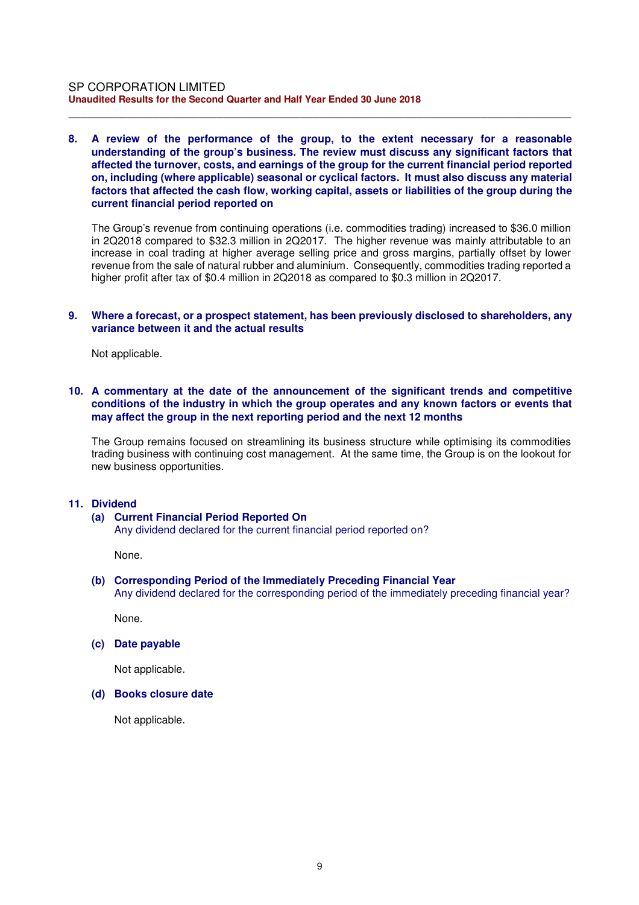#### **8. A review of the performance of the group, to the extent necessary for a reasonable understanding of the group's business. The review must discuss any significant factors that affected the turnover, costs, and earnings of the group for the current financial period reported on, including (where applicable) seasonal or cyclical factors. It must also discuss any material factors that affected the cash flow, working capital, assets or liabilities of the group during the current financial period reported on**

\_\_\_\_\_\_\_\_\_\_\_\_\_\_\_\_\_\_\_\_\_\_\_\_\_\_\_\_\_\_\_\_\_\_\_\_\_\_\_\_\_\_\_\_\_\_\_\_\_\_\_\_\_\_\_\_\_\_\_\_\_\_\_\_\_\_\_\_\_\_\_\_\_\_\_\_\_\_

The Group's revenue from continuing operations (i.e. commodities trading) increased to \$36.0 million in 2Q2018 compared to \$32.3 million in 2Q2017. The higher revenue was mainly attributable to an increase in coal trading at higher average selling price and gross margins, partially offset by lower revenue from the sale of natural rubber and aluminium. Consequently, commodities trading reported a higher profit after tax of \$0.4 million in 2Q2018 as compared to \$0.3 million in 2Q2017.

#### **9. Where a forecast, or a prospect statement, has been previously disclosed to shareholders, any variance between it and the actual results**

Not applicable.

#### **10. A commentary at the date of the announcement of the significant trends and competitive conditions of the industry in which the group operates and any known factors or events that may affect the group in the next reporting period and the next 12 months**

The Group remains focused on streamlining its business structure while optimising its commodities trading business with continuing cost management. At the same time, the Group is on the lookout for new business opportunities.

#### **11. Dividend**

#### **(a) Current Financial Period Reported On**

Any dividend declared for the current financial period reported on?

None.

### **(b) Corresponding Period of the Immediately Preceding Financial Year**

Any dividend declared for the corresponding period of the immediately preceding financial year?

None.

**(c) Date payable** 

Not applicable.

#### **(d) Books closure date**

Not applicable.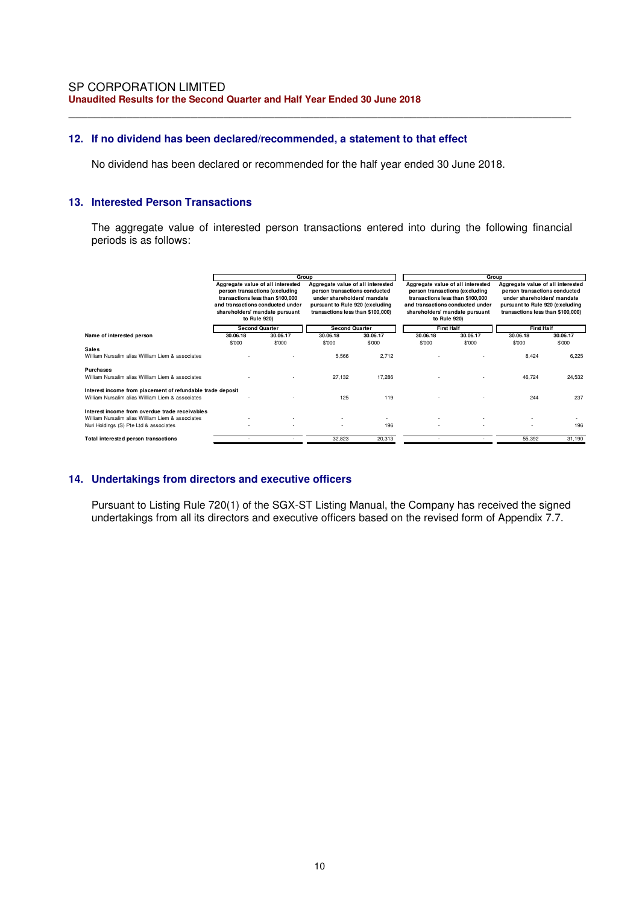### **12. If no dividend has been declared/recommended, a statement to that effect**

No dividend has been declared or recommended for the half year ended 30 June 2018.

\_\_\_\_\_\_\_\_\_\_\_\_\_\_\_\_\_\_\_\_\_\_\_\_\_\_\_\_\_\_\_\_\_\_\_\_\_\_\_\_\_\_\_\_\_\_\_\_\_\_\_\_\_\_\_\_\_\_\_\_\_\_\_\_\_\_\_\_\_\_\_\_\_\_\_\_\_\_

#### **13. Interested Person Transactions**

The aggregate value of interested person transactions entered into during the following financial periods is as follows:

|                                                                                                                | Group                                                                                                                                                                                         |          |                                                                                                                                                                           |          | Group                                                                                                                                                                                         |          |                                                                                                                                                                           |          |
|----------------------------------------------------------------------------------------------------------------|-----------------------------------------------------------------------------------------------------------------------------------------------------------------------------------------------|----------|---------------------------------------------------------------------------------------------------------------------------------------------------------------------------|----------|-----------------------------------------------------------------------------------------------------------------------------------------------------------------------------------------------|----------|---------------------------------------------------------------------------------------------------------------------------------------------------------------------------|----------|
|                                                                                                                | Aggregate value of all interested<br>person transactions (excluding<br>transactions less than \$100,000<br>and transactions conducted under<br>shareholders' mandate pursuant<br>to Rule 920) |          | Aggregate value of all interested<br>person transactions conducted<br>under shareholders' mandate<br>pursuant to Rule 920 (excluding<br>transactions less than \$100,000) |          | Aggregate value of all interested<br>person transactions (excluding<br>transactions less than \$100,000<br>and transactions conducted under<br>shareholders' mandate pursuant<br>to Rule 920) |          | Aggregate value of all interested<br>person transactions conducted<br>under shareholders' mandate<br>pursuant to Rule 920 (excluding<br>transactions less than \$100,000) |          |
|                                                                                                                | <b>Second Quarter</b>                                                                                                                                                                         |          | <b>Second Quarter</b>                                                                                                                                                     |          | <b>First Half</b>                                                                                                                                                                             |          | <b>First Half</b>                                                                                                                                                         |          |
| Name of interested person                                                                                      | 30.06.18                                                                                                                                                                                      | 30.06.17 | 30.06.18                                                                                                                                                                  | 30.06.17 | 30.06.18                                                                                                                                                                                      | 30.06.17 | 30.06.18                                                                                                                                                                  | 30.06.17 |
| <b>Sales</b>                                                                                                   | \$'000                                                                                                                                                                                        | \$'000   | \$'000                                                                                                                                                                    | \$'000   | \$'000                                                                                                                                                                                        | \$'000   | \$'000                                                                                                                                                                    | \$'000   |
| William Nursalim alias William Liem & associates                                                               |                                                                                                                                                                                               |          | 5,566                                                                                                                                                                     | 2,712    |                                                                                                                                                                                               |          | 8.424                                                                                                                                                                     | 6,225    |
| <b>Purchases</b>                                                                                               |                                                                                                                                                                                               |          |                                                                                                                                                                           |          |                                                                                                                                                                                               |          |                                                                                                                                                                           |          |
| William Nursalim alias William Liem & associates                                                               |                                                                                                                                                                                               |          | 27,132                                                                                                                                                                    | 17,286   |                                                                                                                                                                                               |          | 46.724                                                                                                                                                                    | 24,532   |
| Interest income from placement of refundable trade deposit<br>William Nursalim alias William Liem & associates |                                                                                                                                                                                               |          | 125                                                                                                                                                                       | 119      |                                                                                                                                                                                               |          | 244                                                                                                                                                                       | 237      |
|                                                                                                                |                                                                                                                                                                                               |          |                                                                                                                                                                           |          |                                                                                                                                                                                               |          |                                                                                                                                                                           |          |
| Interest income from overdue trade receivables                                                                 |                                                                                                                                                                                               |          |                                                                                                                                                                           |          |                                                                                                                                                                                               |          |                                                                                                                                                                           |          |
| William Nursalim alias William Liem & associates<br>Nuri Holdings (S) Pte Ltd & associates                     |                                                                                                                                                                                               |          |                                                                                                                                                                           | 196      |                                                                                                                                                                                               |          |                                                                                                                                                                           | 196      |
|                                                                                                                |                                                                                                                                                                                               |          |                                                                                                                                                                           |          |                                                                                                                                                                                               |          |                                                                                                                                                                           |          |
| Total interested person transactions                                                                           |                                                                                                                                                                                               |          | 32,823                                                                                                                                                                    | 20,313   |                                                                                                                                                                                               |          | 55,392                                                                                                                                                                    | 31,190   |

### **14. Undertakings from directors and executive officers**

Pursuant to Listing Rule 720(1) of the SGX-ST Listing Manual, the Company has received the signed undertakings from all its directors and executive officers based on the revised form of Appendix 7.7.